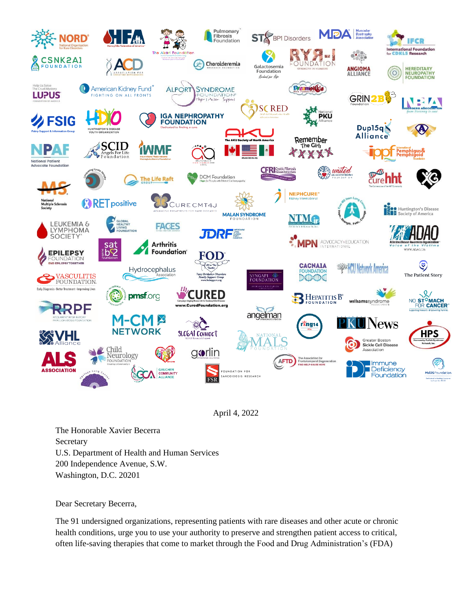

April 4, 2022

The Honorable Xavier Becerra **Secretary** U.S. Department of Health and Human Services 200 Independence Avenue, S.W. Washington, D.C. 20201

Dear Secretary Becerra,

The 91 undersigned organizations, representing patients with rare diseases and other acute or chronic health conditions, urge you to use your authority to preserve and strengthen patient access to critical, often life-saving therapies that come to market through the Food and Drug Administration's (FDA)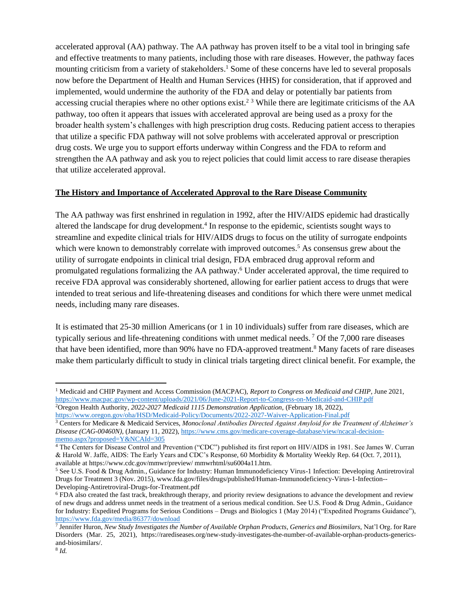accelerated approval (AA) pathway. The AA pathway has proven itself to be a vital tool in bringing safe and effective treatments to many patients, including those with rare diseases. However, the pathway faces mounting criticism from a variety of stakeholders.<sup>1</sup> Some of these concerns have led to several proposals now before the Department of Health and Human Services (HHS) for consideration, that if approved and implemented, would undermine the authority of the FDA and delay or potentially bar patients from accessing crucial therapies where no other options exist.<sup>2 3</sup> While there are legitimate criticisms of the AA pathway, too often it appears that issues with accelerated approval are being used as a proxy for the broader health system's challenges with high prescription drug costs. Reducing patient access to therapies that utilize a specific FDA pathway will not solve problems with accelerated approval or prescription drug costs. We urge you to support efforts underway within Congress and the FDA to reform and strengthen the AA pathway and ask you to reject policies that could limit access to rare disease therapies that utilize accelerated approval.

## **The History and Importance of Accelerated Approval to the Rare Disease Community**

The AA pathway was first enshrined in regulation in 1992, after the HIV/AIDS epidemic had drastically altered the landscape for drug development.<sup>4</sup> In response to the epidemic, scientists sought ways to streamline and expedite clinical trials for HIV/AIDS drugs to focus on the utility of surrogate endpoints which were known to demonstrably correlate with improved outcomes.<sup>5</sup> As consensus grew about the utility of surrogate endpoints in clinical trial design, FDA embraced drug approval reform and promulgated regulations formalizing the AA pathway.<sup>6</sup> Under accelerated approval, the time required to receive FDA approval was considerably shortened, allowing for earlier patient access to drugs that were intended to treat serious and life-threatening diseases and conditions for which there were unmet medical needs, including many rare diseases.

It is estimated that 25-30 million Americans (or 1 in 10 individuals) suffer from rare diseases, which are typically serious and life-threatening conditions with unmet medical needs. <sup>7</sup> Of the 7,000 rare diseases that have been identified, more than 90% have no FDA-approved treatment.<sup>8</sup> Many facets of rare diseases make them particularly difficult to study in clinical trials targeting direct clinical benefit. For example, the

<sup>1</sup> Medicaid and CHIP Payment and Access Commission (MACPAC), *Report to Congress on Medicaid and CHIP*, June 2021, <https://www.macpac.gov/wp-content/uploads/2021/06/June-2021-Report-to-Congress-on-Medicaid-and-CHIP.pdf> <sup>2</sup>Oregon Health Authority, <sup>2022-2027</sup> Medicaid 1115 Demonstration Application, (February 18, 2022),

<https://www.oregon.gov/oha/HSD/Medicaid-Policy/Documents/2022-2027-Waiver-Application-Final.pdf>

<sup>3</sup> Centers for Medicare & Medicaid Services, *Monoclonal Antibodies Directed Against Amyloid for the Treatment of Alzheimer's Disease (CAG-00460N),* (January 11, 2022), [https://www.cms.gov/medicare-coverage-database/view/ncacal-decision](https://www.cms.gov/medicare-coverage-database/view/ncacal-decision-memo.aspx?proposed=Y&NCAId=305)[memo.aspx?proposed=Y&NCAId=305](https://www.cms.gov/medicare-coverage-database/view/ncacal-decision-memo.aspx?proposed=Y&NCAId=305)

<sup>4</sup> The Centers for Disease Control and Prevention ("CDC") published its first report on HIV/AIDS in 1981. See James W. Curran & Harold W. Jaffe, AIDS: The Early Years and CDC's Response, 60 Morbidity & Mortality Weekly Rep. 64 (Oct. 7, 2011), available at https://www.cdc.gov/mmwr/preview/ mmwrhtml/su6004a11.htm.

<sup>5</sup> See U.S. Food & Drug Admin., Guidance for Industry: Human Immunodeficiency Virus-1 Infection: Developing Antiretroviral Drugs for Treatment 3 (Nov. 2015), www.fda.gov/files/drugs/published/Human-Immunodeficiency-Virus-1-Infection-- Developing-Antiretroviral-Drugs-for-Treatment.pdf

<sup>6</sup> FDA also created the fast track, breakthrough therapy, and priority review designations to advance the development and review of new drugs and address unmet needs in the treatment of a serious medical condition. See U.S. Food & Drug Admin., Guidance for Industry: Expedited Programs for Serious Conditions – Drugs and Biologics 1 (May 2014) ("Expedited Programs Guidance"), <https://www.fda.gov/media/86377/download>

<sup>7</sup> Jennifer Huron, *New Study Investigates the Number of Available Orphan Products, Generics and Biosimilars,* Nat'l Org. for Rare Disorders (Mar. 25, 2021), https://rarediseases.org/new-study-investigates-the-number-of-available-orphan-products-genericsand-biosimilars/.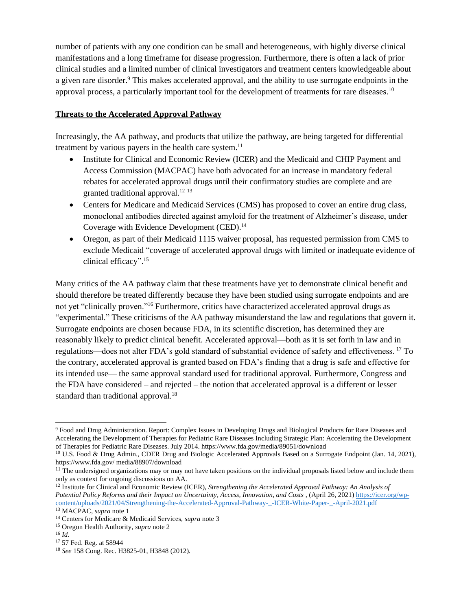number of patients with any one condition can be small and heterogeneous, with highly diverse clinical manifestations and a long timeframe for disease progression. Furthermore, there is often a lack of prior clinical studies and a limited number of clinical investigators and treatment centers knowledgeable about a given rare disorder.<sup>9</sup> This makes accelerated approval, and the ability to use surrogate endpoints in the approval process, a particularly important tool for the development of treatments for rare diseases.<sup>10</sup>

# **Threats to the Accelerated Approval Pathway**

Increasingly, the AA pathway, and products that utilize the pathway, are being targeted for differential treatment by various payers in the health care system.<sup>11</sup>

- Institute for Clinical and Economic Review (ICER) and the Medicaid and CHIP Payment and Access Commission (MACPAC) have both advocated for an increase in mandatory federal rebates for accelerated approval drugs until their confirmatory studies are complete and are granted traditional approval.<sup>12 13</sup>
- Centers for Medicare and Medicaid Services (CMS) has proposed to cover an entire drug class, monoclonal antibodies directed against amyloid for the treatment of Alzheimer's disease, under Coverage with Evidence Development (CED).<sup>14</sup>
- Oregon, as part of their Medicaid 1115 waiver proposal, has requested permission from CMS to exclude Medicaid "coverage of accelerated approval drugs with limited or inadequate evidence of clinical efficacy". 15

Many critics of the AA pathway claim that these treatments have yet to demonstrate clinical benefit and should therefore be treated differently because they have been studied using surrogate endpoints and are not yet "clinically proven."<sup>16</sup> Furthermore, critics have characterized accelerated approval drugs as "experimental." These criticisms of the AA pathway misunderstand the law and regulations that govern it. Surrogate endpoints are chosen because FDA, in its scientific discretion, has determined they are reasonably likely to predict clinical benefit. Accelerated approval—both as it is set forth in law and in regulations—does not alter FDA's gold standard of substantial evidence of safety and effectiveness. <sup>17</sup> To the contrary, accelerated approval is granted based on FDA's finding that a drug is safe and effective for its intended use— the same approval standard used for traditional approval. Furthermore, Congress and the FDA have considered – and rejected – the notion that accelerated approval is a different or lesser standard than traditional approval.<sup>18</sup>

<sup>9</sup> Food and Drug Administration. Report: Complex Issues in Developing Drugs and Biological Products for Rare Diseases and Accelerating the Development of Therapies for Pediatric Rare Diseases Including Strategic Plan: Accelerating the Development of Therapies for Pediatric Rare Diseases. July 2014. https://www.fda.gov/media/89051/download

<sup>&</sup>lt;sup>10</sup> U.S. Food & Drug Admin., CDER Drug and Biologic Accelerated Approvals Based on a Surrogate Endpoint (Jan. 14, 2021), https://www.fda.gov/ media/88907/download

 $11$  The undersigned organizations may or may not have taken positions on the individual proposals listed below and include them only as context for ongoing discussions on AA.

<sup>12</sup> Institute for Clinical and Economic Review (ICER), *Strengthening the Accelerated Approval Pathway: An Analysis of Potential Policy Reforms and their Impact on Uncertainty, Access, Innovation, and Costs* , (April 26, 2021[\) https://icer.org/wp](https://icer.org/wp-content/uploads/2021/04/Strengthening-the-Accelerated-Approval-Pathway-_-ICER-White-Paper-_-April-2021.pdf)[content/uploads/2021/04/Strengthening-the-Accelerated-Approval-Pathway-\\_-ICER-White-Paper-\\_-April-2021.pdf](https://icer.org/wp-content/uploads/2021/04/Strengthening-the-Accelerated-Approval-Pathway-_-ICER-White-Paper-_-April-2021.pdf)

<sup>13</sup> MACPAC, *supra* note 1

<sup>14</sup> Centers for Medicare & Medicaid Services, *supra* note 3

<sup>15</sup> Oregon Health Authority, *supra* note 2

<sup>16</sup> *Id.* 

<sup>17</sup> 57 Fed. Reg. at 58944

<sup>18</sup> *See* 158 Cong. Rec. H3825-01, H3848 (2012).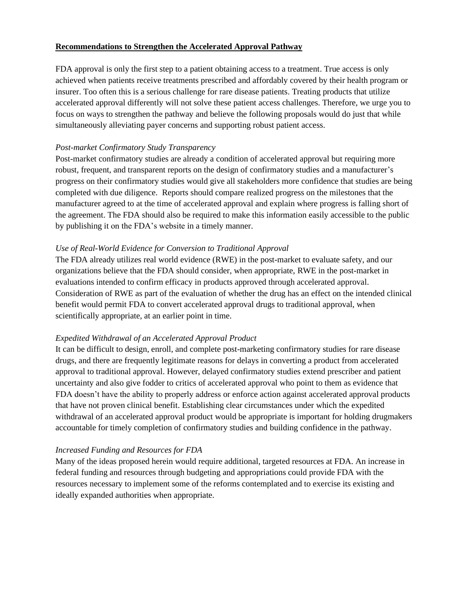# **Recommendations to Strengthen the Accelerated Approval Pathway**

FDA approval is only the first step to a patient obtaining access to a treatment. True access is only achieved when patients receive treatments prescribed and affordably covered by their health program or insurer. Too often this is a serious challenge for rare disease patients. Treating products that utilize accelerated approval differently will not solve these patient access challenges. Therefore, we urge you to focus on ways to strengthen the pathway and believe the following proposals would do just that while simultaneously alleviating payer concerns and supporting robust patient access.

### *Post-market Confirmatory Study Transparency*

Post-market confirmatory studies are already a condition of accelerated approval but requiring more robust, frequent, and transparent reports on the design of confirmatory studies and a manufacturer's progress on their confirmatory studies would give all stakeholders more confidence that studies are being completed with due diligence. Reports should compare realized progress on the milestones that the manufacturer agreed to at the time of accelerated approval and explain where progress is falling short of the agreement. The FDA should also be required to make this information easily accessible to the public by publishing it on the FDA's website in a timely manner.

## *Use of Real-World Evidence for Conversion to Traditional Approval*

The FDA already utilizes real world evidence (RWE) in the post-market to evaluate safety, and our organizations believe that the FDA should consider, when appropriate, RWE in the post-market in evaluations intended to confirm efficacy in products approved through accelerated approval. Consideration of RWE as part of the evaluation of whether the drug has an effect on the intended clinical benefit would permit FDA to convert accelerated approval drugs to traditional approval, when scientifically appropriate, at an earlier point in time.

### *Expedited Withdrawal of an Accelerated Approval Product*

It can be difficult to design, enroll, and complete post-marketing confirmatory studies for rare disease drugs, and there are frequently legitimate reasons for delays in converting a product from accelerated approval to traditional approval. However, delayed confirmatory studies extend prescriber and patient uncertainty and also give fodder to critics of accelerated approval who point to them as evidence that FDA doesn't have the ability to properly address or enforce action against accelerated approval products that have not proven clinical benefit. Establishing clear circumstances under which the expedited withdrawal of an accelerated approval product would be appropriate is important for holding drugmakers accountable for timely completion of confirmatory studies and building confidence in the pathway.

### *Increased Funding and Resources for FDA*

Many of the ideas proposed herein would require additional, targeted resources at FDA. An increase in federal funding and resources through budgeting and appropriations could provide FDA with the resources necessary to implement some of the reforms contemplated and to exercise its existing and ideally expanded authorities when appropriate.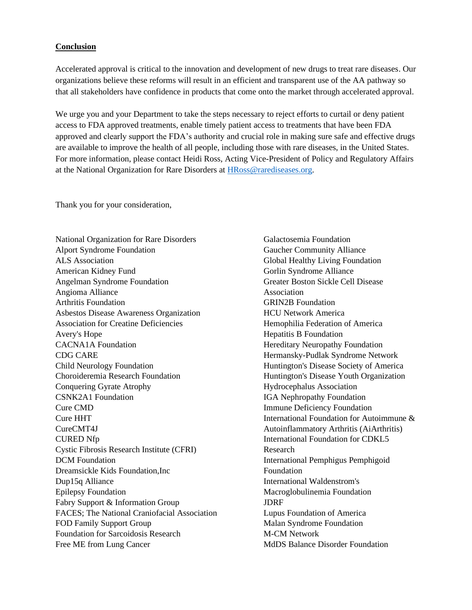### **Conclusion**

Accelerated approval is critical to the innovation and development of new drugs to treat rare diseases. Our organizations believe these reforms will result in an efficient and transparent use of the AA pathway so that all stakeholders have confidence in products that come onto the market through accelerated approval.

We urge you and your Department to take the steps necessary to reject efforts to curtail or deny patient access to FDA approved treatments, enable timely patient access to treatments that have been FDA approved and clearly support the FDA's authority and crucial role in making sure safe and effective drugs are available to improve the health of all people, including those with rare diseases, in the United States. For more information, please contact Heidi Ross, Acting Vice-President of Policy and Regulatory Affairs at the National Organization for Rare Disorders at [HRoss@rarediseases.org.](mailto:HRoss@rarediseases.org)

Thank you for your consideration,

National Organization for Rare Disorders Alport Syndrome Foundation ALS Association American Kidney Fund Angelman Syndrome Foundation Angioma Alliance Arthritis Foundation Asbestos Disease Awareness Organization Association for Creatine Deficiencies Avery's Hope CACNA1A Foundation CDG CARE Child Neurology Foundation Choroideremia Research Foundation Conquering Gyrate Atrophy CSNK2A1 Foundation Cure CMD Cure HHT CureCMT4J CURED Nfp Cystic Fibrosis Research Institute (CFRI) DCM Foundation Dreamsickle Kids Foundation,Inc Dup15q Alliance Epilepsy Foundation Fabry Support & Information Group FACES; The National Craniofacial Association FOD Family Support Group Foundation for Sarcoidosis Research Free ME from Lung Cancer

Galactosemia Foundation Gaucher Community Alliance Global Healthy Living Foundation Gorlin Syndrome Alliance Greater Boston Sickle Cell Disease Association GRIN2B Foundation HCU Network America Hemophilia Federation of America Hepatitis B Foundation Hereditary Neuropathy Foundation Hermansky-Pudlak Syndrome Network Huntington's Disease Society of America Huntington's Disease Youth Organization Hydrocephalus Association IGA Nephropathy Foundation Immune Deficiency Foundation International Foundation for Autoimmune & Autoinflammatory Arthritis (AiArthritis) International Foundation for CDKL5 Research International Pemphigus Pemphigoid Foundation International Waldenstrom's Macroglobulinemia Foundation JDRF Lupus Foundation of America Malan Syndrome Foundation M-CM Network MdDS Balance Disorder Foundation